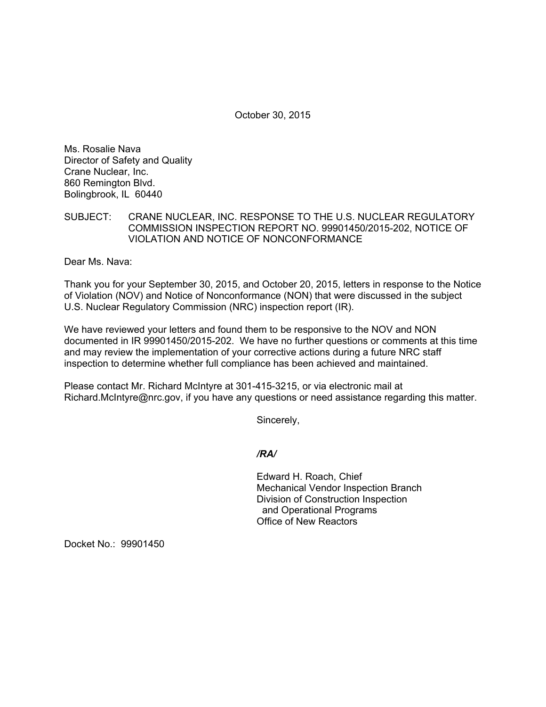October 30, 2015

Ms. Rosalie Nava Director of Safety and Quality Crane Nuclear, Inc. 860 Remington Blvd. Bolingbrook, IL 60440

SUBJECT: CRANE NUCLEAR, INC. RESPONSE TO THE U.S. NUCLEAR REGULATORY COMMISSION INSPECTION REPORT NO. 99901450/2015-202, NOTICE OF VIOLATION AND NOTICE OF NONCONFORMANCE

Dear Ms. Nava:

Thank you for your September 30, 2015, and October 20, 2015, letters in response to the Notice of Violation (NOV) and Notice of Nonconformance (NON) that were discussed in the subject U.S. Nuclear Regulatory Commission (NRC) inspection report (IR).

We have reviewed your letters and found them to be responsive to the NOV and NON documented in IR 99901450/2015-202. We have no further questions or comments at this time and may review the implementation of your corrective actions during a future NRC staff inspection to determine whether full compliance has been achieved and maintained.

Please contact Mr. Richard McIntyre at 301-415-3215, or via electronic mail at Richard.McIntyre@nrc.gov, if you have any questions or need assistance regarding this matter.

Sincerely,

*/RA/* 

Edward H. Roach, Chief Mechanical Vendor Inspection Branch Division of Construction Inspection and Operational Programs Office of New Reactors

Docket No.: 99901450